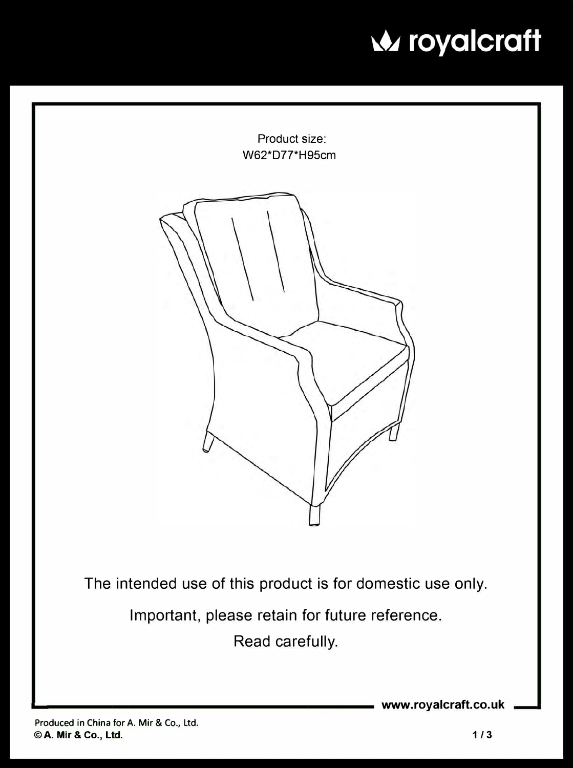

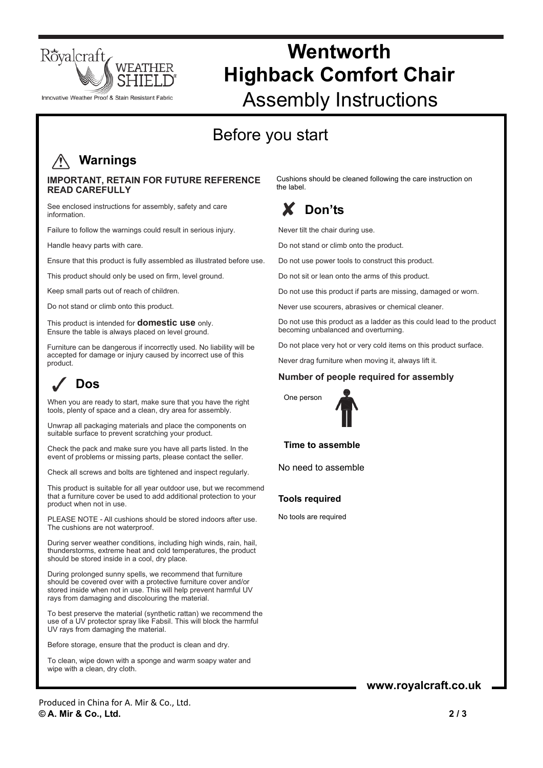

### Innovative Weather Proof & Stain Resistant Fabric

# **Wentworth Highback Comfort Chair**  Assembly Instructions

## Before you start

### **Warnings**

#### **IMPORTANT, RETAIN FOR FUTURE REFERENCE READ CAREFULLY**

See enclosed instructions for assembly, safety and care information.

Failure to follow the warnings could result in serious injury.

Handle heavy parts with care.

Ensure that this product is fully assembled as illustrated before use.

This product should only be used on firm, level ground.

Keep small parts out of reach of children.

Do not stand or climb onto this product.

This product is intended for **domestic use** only. Ensure the table is always placed on level ground.

Furniture can be dangerous if incorrectly used. No liability will be accepted for damage or injury caused by incorrect use of this product.

## **Dos**

When you are ready to start, make sure that you have the right tools, plenty of space and a clean, dry area for assembly.

Unwrap all packaging materials and place the components on suitable surface to prevent scratching your product.

Check the pack and make sure you have all parts listed. In the event of problems or missing parts, please contact the seller.

Check all screws and bolts are tightened and inspect regularly.

This product is suitable for all year outdoor use, but we recommend that a furniture cover be used to add additional protection to your product when not in use.

PLEASE NOTE - All cushions should be stored indoors after use. The cushions are not waterproof.

During server weather conditions, including high winds, rain, hail, thunderstorms, extreme heat and cold temperatures, the product should be stored inside in a cool, dry place.

During prolonged sunny spells, we recommend that furniture should be covered over with a protective furniture cover and/or stored inside when not in use. This will help prevent harmful UV rays from damaging and discolouring the material.

To best preserve the material (synthetic rattan) we recommend the use of a UV protector spray like Fabsil. This will block the harmful UV rays from damaging the material.

Before storage, ensure that the product is clean and dry.

To clean, wipe down with a sponge and warm soapy water and wipe with a clean, dry cloth.

Cushions should be cleaned following the care instruction on the label.

### **Don'ts**

Never tilt the chair during use.

Do not stand or climb onto the product.

Do not use power tools to construct this product.

Do not sit or lean onto the arms of this product.

Do not use this product if parts are missing, damaged or worn.

Never use scourers, abrasives or chemical cleaner.

Do not use this product as a ladder as this could lead to the product becoming unbalanced and overturning.

Do not place very hot or very cold items on this product surface.

Never drag furniture when moving it, always lift it.

#### **Number of people required for assembly**



**Time to assemble** 

No need to assemble

#### **Tools required**

No tools are required

### **www.royalcraft.co.uk**